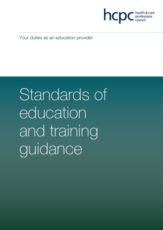

Your duties as an education provider

Standards of education and training guidance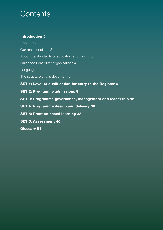## **Contents**

## Introduction 3

About us 3 Our main functions 3 About the standards of education and training 3 Guidance from other organisations 4 Language 4 The structure of this document 5 SET 1: Level of qualification for entry to the Register 6 SET 2: Programme admissions 8 SET 3: Programme governance, management and leadership 16 SET 4: Programme design and delivery 30 SET 5: Practice-based learning 38 SET 6: Assessment 46

Glossary 51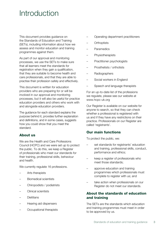## Introduction

This document provides guidance on the Standards of Education and Training (SETs), including information about how we assess and monitor education and training programmes against them.

As part of our approval and monitoring processes, we use the SETs to make sure that all learners meet the standards for registration when they gain a qualification, that they are suitable to become health and care professionals, and that they are able to practise their profession safely and effectively.

This document is written for education providers who are preparing for or will be involved in our approval and monitoring processes, but it will also be useful for practice education providers and others who work with and alongside education providers.

The guidance for each standard explains the purpose behind it, provides further explanation and definitions, and in some cases, suggests how you could show that you meet the standard.

### About us

We are the Health and Care Professions Council (HCPC) and we were set up to protect the public. To do this, we keep a Register of professionals who meet our standards for their training, professional skills, behaviour and health.

We currently regulate 16 professions.

- Arts therapists
- Biomedical scientists
- Chiropodists / podiatrists
- Clinical scientists
- Dietitians
- Hearing aid dispensers
- Occupational therapists
- Operating department practitioners
- **Orthoptists**
- **Paramedics**
- **Physiotherapists**
- Practitioner psychologists
- Prosthetists / orthotists
- Radiographers
- Social workers in England
- Speech and language therapists

For an up-to-date list of the professions we regulate, please see our website at www.hcpc-uk.org

Our Register is available on our website for anyone to search, so that they can check whether a professional is registered with us and if they have any restrictions on their practice. Professionals on our Register are called 'registrants'.

### Our main functions

To protect the public, we:

- set standards for registrants' education and training, professional skills, conduct, performance and ethics;
- keep a register of professionals who meet those standards;
- approve education and training programmes which professionals must complete to register with us; and
- take action when professionals on our Register do not meet our standards.

## About the standards of education and training

The SETs are the standards which education and training programmes must meet in order to be approved by us.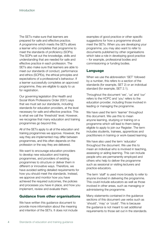The SETs make sure that learners are prepared for safe and effective practice. A programme which meets the SETs allows a learner who completes that programme to meet the standards of proficiency (SOPs). The SOPs set out the knowledge, skills and understanding that are needed for safe and effective practice in each profession. The SETs also make sure that learners are able to meet our standards of conduct, performance and ethics (SCPEs), the ethical principles and expectations of a professional's behaviour. If a learner successfully completes an approved programme, they are eligible to apply to us for registration.

Our governing legislation (the Health and Social Work Professions Order 2001) says that we must set our standards, including standards for education providers, at the level necessary for safe and effective practice. This is what we call the 'threshold' level. However, we recognise that many education and training programmes go beyond this.

All of the SETs apply to all of the education and training programmes we approve. However, the way they are implemented may differ between programmes, and this often depends on the profession or the way they are delivered.

We want to encourage education providers to develop new education and training programmes, and providers of existing programmes to structure or deliver them in different or innovative ways. Therefore, we have avoided setting detailed requirements for how you should meet the standards. Instead, we approve and monitor how you have achieved the required outcomes, the policies and processes you have in place, and how you implement, review and evaluate them.

### Guidance from other organisations

We have written this guidance document to provide more information about the meaning and intention of the SETs. It does not include examples of good practice or other specific suggestions for how a programme should meet the SETs. When you are developing your programme, you may also want to refer to documents published by other organisations which take a role in developing good practice – for example, professional bodies and commissioning or funding bodies.

#### Language

When we use the abbreviation 'SET' followed by a number, this refers to a section of the standards (for example, SET 2) or an individual standard (for example, SET 2.1).

Throughout the document 'we', 'us' and 'our' refers to the HCPC and 'you' refers to the education provider, including those involved in leading or managing the programme.

We have used the term 'learner' throughout this document. We use this to mean anyone learning, studying or training on a programme which will lead to them being eligible to apply to join our Register. The term includes students, trainees, apprentices and practitioners in training or work-based learning.

We have also used the term 'educator' throughout the document. We use this to mean an individual who is involved in teaching, assessing or aiding learning. This can include people who are permanently employed and others who help to deliver the programme such as sessional or visiting lecturers and practice educators.

The term 'staff' is used more broadly to refer to anyone involved in delivering the programme. This could include educators as well as those involved in other areas, such as managing or administering the programme.

Many statements contained in the guidance sections of this document use verbs such as 'should', 'may' or 'could'. This is because the guidance is not meant to set additional requirements to those set out in the standards.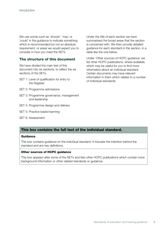We use words such as 'should', 'may' or 'could' in the guidance to indicate something which is recommended but not an absolute requirement, or areas we would expect you to consider in how you meet the SETs.

### The structure of this document

We have divided the main text of this document into six sections, to reflect the six sections of the SETs.

- SET 1: Level of qualification for entry to the Register
- SET 2: Programme admissions
- SET 3: Programme governance, management and leadership
- SET 4: Programme design and delivery
- SET 5: Practice-based learning
- SET 6: Assessment

Under the title of each section we have summarised the broad areas that the section is concerned with. We then provide detailed guidance for each standard in the section, in a table like the one below.

Under 'Other sources of HCPC guidance' we list other HCPC publications, where available, which may be useful for you to find more information about an individual standard. Certain documents may have relevant information in them which relates to a number of individual standards.

### This box contains the full text of the individual standard.

#### Guidance

This box contains guidance on the individual standard. It includes the intention behind the standard and any key definitions.

#### Other sources of HCPC guidance

This box appears after some of the SETs and lists other HCPC publications which contain more background information or other related standards or guidance.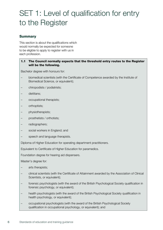# SET 1: Level of qualification for entry to the Register

## Summary

This section is about the qualifications which would normally be expected for someone to be eligible to apply to register with us in each profession.

#### 1.1 The Council normally expects that the threshold entry routes to the Register will be the following.

Bachelor degree with honours for:

- biomedical scientists (with the Certificate of Competence awarded by the Institute of Biomedical Science, or equivalent);
- chiropodists / podiatrists;
- dietitians;
- occupational therapists;
- orthoptists;
- physiotherapists;
- prosthetists / orthotists;
- radiographers;
- social workers in England; and
- speech and language therapists.

Diploma of Higher Education for operating department practitioners.

Equivalent to Certificate of Higher Education for paramedics.

Foundation degree for hearing aid dispensers.

Master's degree for:

- arts therapists;
- clinical scientists (with the Certificate of Attainment awarded by the Association of Clinical Scientists, or equivalent);
- forensic psychologists (with the award of the British Psychological Society qualification in forensic psychology, or equivalent);
- health psychologists (with the award of the British Psychological Society qualification in health psychology, or equivalent);
- occupational psychologists (with the award of the British Psychological Society qualification in occupational psychology, or equivalent); and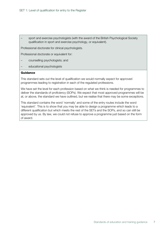– sport and exercise psychologists (with the award of the British Psychological Society qualification in sport and exercise psychology, or equivalent).

Professional doctorate for clinical psychologists.

Professional doctorate or equivalent for:

- counselling psychologists; and
- educational psychologists

#### Guidance

This standard sets out the level of qualification we would normally expect for approved programmes leading to registration in each of the regulated professions.

We have set the level for each profession based on what we think is needed for programmes to deliver the standards of proficiency (SOPs). We expect that most approved programmes will be at, or above, the standard we have outlined, but we realise that there may be some exceptions.

This standard contains the word 'normally' and some of the entry routes include the word 'equivalent'. This is to show that you may be able to design a programme which leads to a different qualification but which meets the rest of the SETs and the SOPs, and so can still be approved by us. By law, we could not refuse to approve a programme just based on the form of award.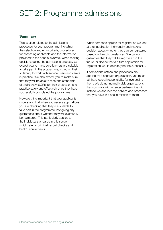## SET 2: Programme admissions

### **Summary**

This section relates to the admissions processes for your programme, including the selection and entry criteria, procedures for assessing applicants and the information provided to the people involved. When making decisions during the admissions process, we expect you to make sure learners are suitable to take part in the programme, including their suitability to work with service users and carers in practice. We also expect you to make sure that they will be able to meet the standards of proficiency (SOPs) for their profession and practise safely and effectively once they have successfully completed the programme.

However, it is important that your applicants understand that when you assess applications you are checking that they are suitable to take part in the programme, not giving any guarantees about whether they will eventually be registered. This particularly applies to the individual standards in this section which refer to criminal record checks and health requirements.

When someone applies for registration we look at their application individually and make a decision about whether they can be registered, based on their circumstances. We cannot guarantee that they will be registered in the future, or decide that a future application for registration would definitely not be successful.

If admissions criteria and processes are applied by a separate organisation, you must still have overall responsibility for overseeing them. We do not normally visit organisations that you work with or enter partnerships with. Instead we approve the policies and processes that you have in place in relation to them.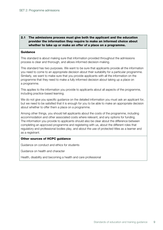#### 2.1 The admissions process must give both the applicant and the education provider the information they require to make an informed choice about whether to take up or make an offer of a place on a programme.

#### **Guidance**

This standard is about making sure that information provided throughout the admissions process is clear and thorough, and allows informed decision-making.

This standard has two purposes. We want to be sure that applicants provide all the information you need to come to an appropriate decision about their suitability for a particular programme. Similarly, we want to make sure that you provide applicants with all the information on the programme that they need to make a fully informed decision about taking up a place on a programme.

This applies to the information you provide to applicants about all aspects of the programme, including practice-based learning.

We do not give you specific guidance on the detailed information you must ask an applicant for, but we need to be satisfied that it is enough for you to be able to make an appropriate decision about whether to offer them a place on a programme.

Among other things, you should tell applicants about the costs of the programme, including accommodation and other associated costs where relevant, and any options for funding. The information you provide to applicants should also be clear about the difference between completing an approved programme and registering with us, about the different roles that regulatory and professional bodies play, and about the use of protected titles as a learner and as a registrant.

#### Other sources of HCPC guidance

Guidance on conduct and ethics for students

Guidance on health and character

Health, disability and becoming a health and care professional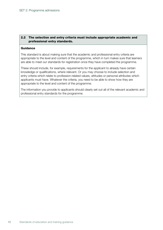#### 2.2 The selection and entry criteria must include appropriate academic and professional entry standards.

#### **Guidance**

This standard is about making sure that the academic and professional entry criteria are appropriate to the level and content of the programme, which in turn makes sure that learners are able to meet our standards for registration once they have completed the programme.

These should include, for example, requirements for the applicant to already have certain knowledge or qualifications, where relevant. Or you may choose to include selection and entry criteria which relate to profession-related values, attitudes or personal attributes which applicants must have. Whatever the criteria, you need to be able to show how they are appropriate to the level and content of the programme.

The information you provide to applicants should clearly set out all of the relevant academic and professional entry standards for the programme.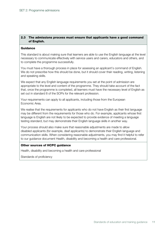#### 2.3 The admissions process must ensure that applicants have a good command of English.

#### **Guidance**

This standard is about making sure that learners are able to use the English language at the level necessary to communicate effectively with service users and carers, educators and others, and to complete the programme successfully.

You must have a thorough process in place for assessing an applicant's command of English. We do not prescribe how this should be done, but it should cover their reading, writing, listening and speaking skills.

We expect that any English language requirements you set at the point of admission are appropriate to the level and content of the programme. They should take account of the fact that, once the programme is completed, all learners must have the necessary level of English as set out in standard 8 of the SOPs for the relevant profession.

Your requirements can apply to all applicants, including those from the European Economic Area.

We realise that the requirements for applicants who do not have English as their first language may be different from the requirements for those who do. For example, applicants whose first language is English are not likely to be expected to provide evidence of meeting a language testing standard, but may demonstrate their English language skills in another way.

Your process should also make sure that reasonable adjustments are made to allow disabled applicants (for example, deaf applicants) to demonstrate their English language and communication skills. When considering reasonable adjustments, you may find it helpful to refer to our guidance document Health, disability and becoming a health and care professional.

#### Other sources of HCPC guidance

Health, disability and becoming a health and care professional

Standards of proficiency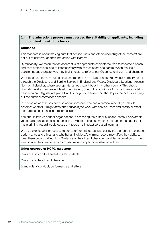#### 2.4 The admissions process must assess the suitability of applicants, including criminal conviction checks.

#### **Guidance**

This standard is about making sure that service users and others (including other learners) are not put at risk through their interaction with learners.

By 'suitability' we mean that an applicant is of appropriate character to train to become a health and care professional and to interact safely with service users and carers. When making a decision about character you may find it helpful to refer to our Guidance on health and character.

We expect you to carry out criminal record checks on all applicants. You would normally do this through the Disclosure and Barring Service in England and Wales, Disclosure Scotland, Access Northern Ireland or, where appropriate, an equivalent body in another country. This should normally be at an 'enhanced' level or equivalent, due to the positions of trust and responsibility people on our Register are placed in. It is for you to decide who should pay the cost of carrying out the criminal convictions checks.

In making an admissions decision about someone who has a criminal record, you should consider whether it might affect their suitability to work with service users and carers or affect the public's confidence in their profession.

You should involve partner organisations in assessing the suitability of applicants. For example, you should consult practice education providers to find out whether the fact that an applicant has a criminal record would cause any problems in practice-based learning.

We also expect your processes to consider our standards, particularly the standards of conduct, performance and ethics, and whether an individual's criminal record may affect their ability to meet them once qualified. Our Guidance on health and character provides information on how we consider the criminal records of people who apply for registration with us.

#### Other sources of HCPC guidance

Guidance on conduct and ethics for students

Guidance on health and character

Standards of conduct, performance and ethics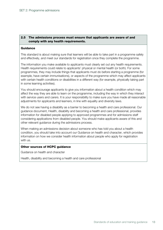#### 2.5 The admissions process must ensure that applicants are aware of and comply with any health requirements.

#### **Guidance**

This standard is about making sure that learners will be able to take part in a programme safely and effectively, and meet our standards for registration once they complete the programme.

The information you make available to applicants must clearly set out any health requirements. Health requirements could relate to applicants' physical or mental health (or both). For some programmes, they may include things that applicants must do before starting a programme (for example, have certain immunisations), or aspects of the programme which may affect applicants with certain health conditions or disabilities in a different way (for example, physically taking part in some learning activities).

You should encourage applicants to give you information about a health condition which may affect the way they are able to learn on the programme, including the way in which they interact with service users and carers. It is your responsibility to make sure you have made all reasonable adjustments for applicants and learners, in line with equality and diversity laws.

We do not see having a disability as a barrier to becoming a health and care professional. Our guidance document, Health, disability and becoming a health and care professional, provides information for disabled people applying to approved programmes and for admissions staff considering applications from disabled people. You should make applicants aware of this and other relevant guidance during the admissions process.

When making an admissions decision about someone who has told you about a health condition, you should take into account our Guidance on health and character, which provides information on how we consider health information about people who apply for registration with us.

#### Other sources of HCPC guidance

Guidance on health and character

Health, disability and becoming a health and care professional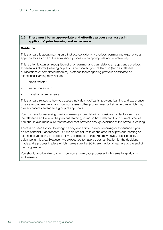#### 2.6 There must be an appropriate and effective process for assessing applicants' prior learning and experience.

#### **Guidance**

This standard is about making sure that you consider any previous learning and experience an applicant has as part of the admissions process in an appropriate and effective way.

This is often known as 'recognition of prior learning' and can relate to an applicant's previous experiential (informal) learning or previous certificated (formal) learning (such as relevant qualifications or completed modules). Methods for recognising previous certificated or experiential learning may include:

- credit transfer;
- feeder routes; and
- transition arrangements.

This standard relates to how you assess individual applicants' previous learning and experience on a case-by-case basis, and how you assess other programmes or training routes which may give advanced standing to a group of applicants.

Your process for assessing previous learning should take into consideration factors such as the relevance and level of the previous learning, including how relevant it is to current practice. You should also make sure that the applicant provides enough evidence of the previous learning.

There is no need for you to recognise or give credit for previous learning or experience if you do not consider it appropriate. But we do not set limits on the amount of previous learning or experience you can give credit for if you decide to do this. You may have a specific policy or guidance in this area. However, we expect you to have a clear justification for the decisions made and a process in place which makes sure the SOPs are met by all learners by the end of the programme.

You should also be able to show how you explain your processes in this area to applicants and learners.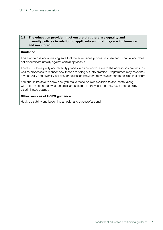#### 2.7 The education provider must ensure that there are equality and diversity policies in relation to applicants and that they are implemented and monitored.

#### **Guidance**

This standard is about making sure that the admissions process is open and impartial and does not discriminate unfairly against certain applicants.

There must be equality and diversity policies in place which relate to the admissions process, as well as processes to monitor how these are being put into practice. Programmes may have their own equality and diversity policies, or education providers may have separate policies that apply.

You should be able to show how you make these policies available to applicants, along with information about what an applicant should do if they feel that they have been unfairly discriminated against.

#### Other sources of HCPC guidance

Health, disability and becoming a health and care professional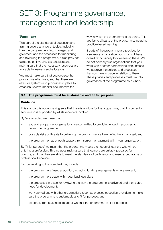# SET 3: Programme governance, management and leadership

## **Summary**

This part of the standards of education and training covers a range of topics, including how the programme is led, managed and governed, and the processes for monitoring and reviewing the programme. It also provides guidance on involving stakeholders and making sure that the necessary resources are available to learners and educators.

You must make sure that you oversee the programme effectively, and that there are effective systems and processes in place to establish, review, monitor and improve the

way in which the programme is delivered. This applies to all parts of the programme, including practice-based learning.

If parts of the programme are provided by a separate organisation, you must still have overall responsibility for overseeing these. We do not normally visit organisations that you work with or enter partnerships with. Instead we approve the policies and processes that you have in place in relation to them. These policies and processes must link into governance of the programme as a whole.

#### 3.1 The programme must be sustainable and fit for purpose.

#### Guidance

This standard is about making sure that there is a future for the programme, that it is currently secure and is supported by all stakeholders involved.

By 'sustainable', we mean that:

- you and any partner organisations are committed to providing enough resources to deliver the programme;
- possible risks or threats to delivering the programme are being effectively managed; and
- the programme has enough support from senior management within your organisation.

By 'fit for purpose' we mean that the programme meets the needs of learners who will be entering a profession. This includes making sure that learners are suitably prepared for practice, and that they are able to meet the standards of proficiency and meet expectations of professional behaviour.

Factors relating to this standard may include:

- the programme's financial position, including funding arrangements where relevant;
- the programme's place within your business plan;
- the processes in place for reviewing the way the programme is delivered and the related need for development;
- work carried out with other organisations (such as practice education providers) to make sure the programme is sustainable and fit for purpose; and
- feedback from stakeholders about whether the programme is fit for purpose.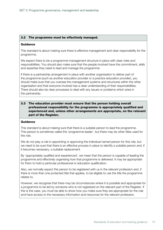#### 3.2 The programme must be effectively managed.

#### Guidance

This standard is about making sure there is effective management and clear responsibility for the programme.

We expect there to be a programme-management structure in place with clear roles and responsibilities. You should also make sure that the people involved have the commitment, skills and expertise they need to lead and manage the programme.

If there is a partnership arrangement in place with another organisation to deliver part of the programme (such as another education provider or a practice education provider), you should make sure that you oversee the management systems and structures within the other organisation and that everyone involved has a clear understanding of their responsibilities. There should also be clear processes to deal with any issues or problems which arise in the partnership.

#### 3.3 The education provider must ensure that the person holding overall professional responsibility for the programme is appropriately qualified and experienced and, unless other arrangements are appropriate, on the relevant part of the Register.

#### **Guidance**

This standard is about making sure that there is a suitable person to lead the programme. This person is sometimes called the 'programme leader', but there may be other titles used for the role.

We do not play a role in appointing or approving the individual named person for this role, but we need to be sure that there is an effective process in place to identify a suitable person and, if it becomes necessary, a suitable replacement.

By 'appropriately qualified and experienced', we mean that the person is capable of leading the programme and effectively organising how that programme is delivered. It may be appropriate for them to hold a particular professional or education qualification.

Also, we normally expect this person to be registered with us in the relevant profession and, if there is more than one protected title that applies, to be eligible to use the title the programme relates to.

However, we recognise that there may be circumstances where it is possible and appropriate for a programme to be led by someone who is not registered on the relevant part of the Register. If this is the case, you must be able to show how you make sure they are appropriate for the role and have access to the necessary information and resources for the relevant profession.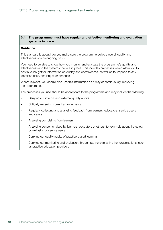#### 3.4 The programme must have regular and effective monitoring and evaluation systems in place.

#### **Guidance**

This standard is about how you make sure the programme delivers overall quality and effectiveness on an ongoing basis.

You need to be able to show how you monitor and evaluate the programme's quality and effectiveness and the systems that are in place. This includes processes which allow you to continuously gather information on quality and effectiveness, as well as to respond to any identified risks, challenges or changes.

Where relevant, you should also use this information as a way of continuously improving the programme.

The processes you use should be appropriate to the programme and may include the following.

- Carrying out internal and external quality audits
- Critically reviewing current arrangements
- Regularly collecting and analysing feedback from learners, educators, service users and carers
- Analysing complaints from learners
- Analysing concerns raised by learners, educators or others, for example about the safety or wellbeing of service users
- Carrying out quality audits of practice-based learning
- Carrying out monitoring and evaluation through partnership with other organisations, such as practice education providers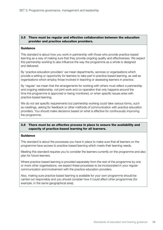#### 3.5 There must be regular and effective collaboration between the education provider and practice education providers.

#### **Guidance**

This standard is about how you work in partnership with those who provide practice-based learning as a way of making sure that they provide ongoing quality and effectiveness. We expect this partnership working to also influence the way the programme as a whole is designed and delivered.

By 'practice education providers' we mean departments, services or organisations which provide a setting or opportunity for learners to take part in practice-based learning, as well as organisations which employ those involved in teaching or assessing learners in practice.

By 'regular' we mean that the arrangements for working with others must reflect a partnership and ongoing relationship, not joint work and co-operation that only happens around the time the programme is approved or being monitored, or when specific issues arise with practice-based learning.

We do not set specific requirements but partnership working could take various forms, such as meetings, asking for feedback or other methods of communication with practice education providers. You should make decisions based on what is effective for continuously improving the programme.

#### 3.6 There must be an effective process in place to ensure the availability and capacity of practice-based learning for all learners.

#### **Guidance**

This standard is about the processes you have in place to make sure that all learners on the programme have access to practice-based learning which meets their learning needs.

Meeting this standard requires you to consider the learners currently on the programme and also plan for future learners.

Where practice-based learning is provided separately from the rest of the programme by one or more other organisations, we expect these processes to be incorporated in your regular communication and involvement with the practice education providers.

Also, making sure practice-based learning is available for your own programme should be carried out responsibly and you should consider how it could affect other programmes (for example, in the same geographical area).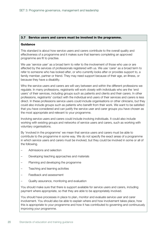#### 3.7 Service users and carers must be involved in the programme.

#### **Guidance**

This standard is about how service users and carers contribute to the overall quality and effectiveness of a programme and it makes sure that learners completing an approved programme are fit to practise.

We use 'service user' as a broad term to refer to the involvement of those who use or are affected by the services of professionals registered with us. We use 'carer' as a broad term to refer to someone who has looked after, or who currently looks after or provides support to, a family member, partner or friend. They may need support because of their age, an illness, or because they have a disability.

Who the service users and carers are will vary between and within the different professions we regulate. In many professions, registrants will work closely with individuals who are the 'end users' of their services, including groups such as patients and clients and their carers. In other professions, registrants' contact with the individual end users of their services and carers is less direct. In these professions service users could include organisations or other clinicians, but they could also include groups such as patients who benefit from their work. We want to be satisfied that you have considered and can justify the service user and carer groups you have chosen as the most appropriate and relevant to your programme.

Involving service users and carers could include involving individuals. It could also include working with existing groups and networks of service users and carers, such as working with voluntary organisations.

By 'involved in the programme' we mean that service users and carers must be able to contribute to the programme in some way. We do not specify the exact areas of a programme in which service users and carers must be involved, but they could be involved in some or all of the following.

- Admissions and selection
- Developing teaching approaches and materials
- Planning and developing the programme
- Teaching and learning activities
- Feedback and assessment
- Quality assurance, monitoring and evaluation

You should make sure that there is support available for service users and carers, including payment where appropriate, so that they are able to be appropriately involved.

You should have processes in place to plan, monitor and evaluate service user and carer involvement. You should also be able to explain where and how involvement takes place, how this is appropriate to your programme and how it has contributed to governing and continuously improving your programme.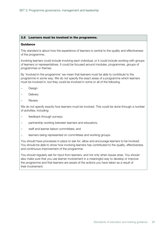#### 3.8 Learners must be involved in the programme.

#### Guidance

This standard is about how the experience of learners is central to the quality and effectiveness of the programme.

Involving learners could include involving each individual, or it could include working with groups of learners or representatives. It could be focused around modules, programmes, groups of programmes or themes.

By 'involved in the programme' we mean that learners must be able to contribute to the programme in some way. We do not specify the exact areas of a programme which learners must be involved in, but they could be involved in some or all of the following.

- **Design**
- **Delivery**
- **Review**

We do not specify exactly how learners must be involved. This could be done through a number of activities, including:

- feedback through surveys;
- partnership working between learners and educators;
- staff and learner liaison committees; and
- learners being represented on committees and working groups.

You should have processes in place to ask for, allow and encourage learners to be involved. You should be able to show how involving learners has contributed to the quality, effectiveness and continuous improvement of the programme.

You should regularly ask for input from learners, and not only when issues arise. You should also make sure that you use learner involvement in a meaningful way to develop or improve the programme and that learners are aware of the actions you have taken as a result of their involvement.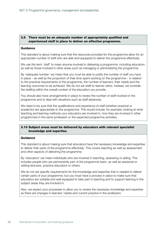#### 3.9 There must be an adequate number of appropriately qualified and experienced staff in place to deliver an effective programme.

#### **Guidance**

This standard is about making sure that the resources provided for the programme allow for an appropriate number of staff who are able and equipped to deliver the programme effectively.

We use the term 'staff' to mean anyone involved in delivering a programme, including educators as well as those involved in other areas such as managing or administering the programme.

By 'adequate number' we mean that you must be able to justify the number of staff you have in place – as well as the proportion of their time spent working on the programme – in relation to the practical requirements of the programme, the number of learners, their needs and the learning outcomes to be achieved. We do not set staff-to-learner ratios. Instead, we consider the staffing within the overall context of the education you provide.

You should also have arrangements in place to review the number of staff involved in the programme and to deal with situations such as staff absences.

We need to be sure that the qualifications and experience of staff (whether practical or academic) are appropriate to the programme. This would include, for example, looking at what teaching and learning methods your educators are involved in, how they are involved in other programmes in the same profession or the expected programme activities.

#### 3.10 Subject areas must be delivered by educators with relevant specialist knowledge and expertise.

#### Guidance

This standard is about making sure that educators have the necessary knowledge and expertise to deliver their parts of the programme effectively. This covers teaching as well as assessment and other aspects of delivering the programme.

By 'educators' we mean individuals who are involved in teaching, assessing or aiding. This includes people who are permanently part of the programme team, as well as sessional or visiting lecturers, practice educators or others.

We do not set specific requirements for the knowledge and expertise that is needed to deliver certain parts of your programme, but you must have a process in place to make sure that educators are suitable and well equipped to take part in teaching and to support learning in the subject areas they are involved in.

Also, we expect your processes to allow you to review the necessary knowledge and expertise as there are changes in learners' needs and current practice in the profession.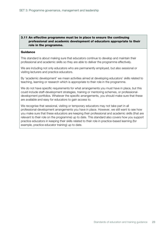#### 3.11 An effective programme must be in place to ensure the continuing professional and academic development of educators appropriate to their role in the programme.

#### **Guidance**

This standard is about making sure that educators continue to develop and maintain their professional and academic skills so they are able to deliver the programme effectively.

We are including not only educators who are permanently employed, but also sessional or visiting lecturers and practice educators.

By 'academic development' we mean activities aimed at developing educators' skills related to teaching, learning or research which is appropriate to their role in the programme.

We do not have specific requirements for what arrangements you must have in place, but this could include staff-development strategies, training or mentoring schemes, or professionaldevelopment portfolios. Whatever the specific arrangements, you should make sure that these are available and easy for educators to gain access to.

We recognise that sessional, visiting or temporary educators may not take part in all professional-development arrangements you have in place. However, we still want to see how you make sure that these educators are keeping their professional and academic skills (that are relevant to their role on the programme) up to date. This standard also covers how you support practice educators in keeping their skills related to their role in practice-based learning (for example, practice educator training) up to date.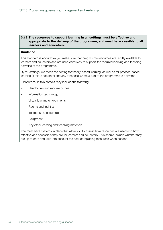#### 3.12 The resources to support learning in all settings must be effective and appropriate to the delivery of the programme, and must be accessible to all learners and educators.

#### **Guidance**

This standard is about how you make sure that programme resources are readily available to learners and educators and are used effectively to support the required learning and teaching activities of the programme.

By 'all settings' we mean the setting for theory-based learning, as well as for practice-based learning (if this is separate) and any other site where a part of the programme is delivered.

'Resources' in this context may include the following.

- Handbooks and module guides
- Information technology
- Virtual learning environments
- Rooms and facilities
- Textbooks and journals
- Equipment
- Any other learning and teaching materials

You must have systems in place that allow you to assess how resources are used and how effective and accessible they are for learners and educators. This should include whether they are up to date and take into account the cost of replacing resources when needed.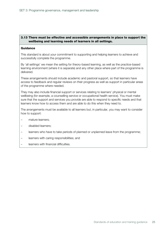#### 3.13 There must be effective and accessible arrangements in place to support the wellbeing and learning needs of learners in all settings.

#### **Guidance**

This standard is about your commitment to supporting and helping learners to achieve and successfully complete the programme.

By 'all settings' we mean the setting for theory-based learning, as well as the practice-based learning environment (where it is separate) and any other place where part of the programme is delivered.

These arrangements should include academic and pastoral support, so that learners have access to feedback and regular reviews on their progress as well as support in particular areas of the programme where needed.

They may also include financial support or services relating to learners' physical or mental wellbeing (for example, a counselling service or occupational health service). You must make sure that the support and services you provide are able to respond to specific needs and that learners know how to access them and are able to do this when they need to.

The arrangements must be available to all learners but, in particular, you may want to consider how to support:

- mature learners;
- disabled learners;
- learners who have to take periods of planned or unplanned leave from the programme;
- learners with caring responsibilities; and
- learners with financial difficulties.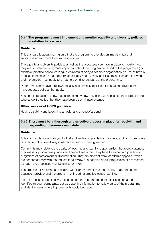#### 3.14 The programme must implement and monitor equality and diversity policies in relation to learners.

#### **Guidance**

This standard is about making sure that the programme provides an impartial, fair and supportive environment to allow people to learn.

The equality and diversity policies, as well as the processes you have in place to monitor how they are put into practice, must apply throughout the programme. If part of the programme (for example, practice-based learning) is delivered at or by a separate organisation, you must have a process to make sure that appropriate equality and diversity policies are in place and followed, and the policies must apply to all learners on different parts of the programme.

Programmes may have their own equality and diversity policies, or education providers may have separate policies that apply.

You should be able to show that learners know how they can gain access to these policies and what to do if they feel that they have been discriminated against.

#### Other sources of HCPC guidance

Health, disability and becoming a health and care professional

#### 3.15 There must be a thorough and effective process in place for receiving and responding to learner complaints.

#### Guidance

This standard is about how you look at and settle complaints from learners, and how complaints contribute to the overall way in which the programme is governed.

Complaints may relate to the quality of teaching and learning opportunities, the appropriateness or fairness of programme policies and procedures or how they have been put into practice, or allegations of harassment or discrimination. They are different from 'academic appeals', which are concerned only with the request for a review of a decision about progression or assessment, although the processes may be similar or linked.

The process for receiving and dealing with learner complaints must apply to all parts of the education provider and the programme, including practice-based learning.

For the process to be effective, it should not only respond to and settle issues or failings identified through complaints, but also use this information to review parts of the programme and identify areas where improvements could be made.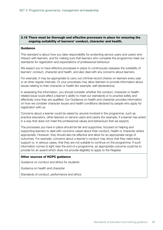#### 3.16 There must be thorough and effective processes in place for ensuring the ongoing suitability of learners' conduct, character and health.

#### **Guidance**

This standard is about how you take responsibility for protecting service users and carers who interact with learners, and for making sure that learners who complete the programme meet our standards for registration and expectations of professional behaviour.

We expect you to have effective processes in place to continuously reassess the suitability of learners' conduct, character and health, and also deal with any concerns about learners.

For example, it may be appropriate to carry out criminal record checks on learners every year or at other regular intervals. Or your processes may allow learners to provide information about issues relating to their character or health (for example, self-declarations).

In assessing this information, you should consider whether the conduct, character or healthrelated issue could affect a learner's ability to meet our standards or to practise safely and effectively once they are qualified. Our Guidance on health and character provides information on how we consider character issues and health conditions declared by people who apply for registration with us.

Concerns about a learner could be raised by anyone involved in the programme, such as practice educators, other learners or service users and carers (for example, if a learner has acted in a way that does not meet the professional values and behaviours that we expect).

The processes you have in place should be fair and supportive, focused on helping and supporting learners to deal with concerns raised about their conduct, health or character where appropriate. However, they should also be effective and allow for an appropriate range of outcomes. For example, concerns about a learner's conduct may show that they need extra support or, in serious cases, that they are not suitable to continue on the programme. If such information comes to light near the end of a programme, an appropriate outcome could be to provide for an award which does not provide eligibility to apply to the Register.

#### Other sources of HCPC guidance

Guidance on conduct and ethics for students

Guidance on health and character

Standards of conduct, performance and ethics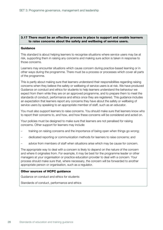#### 3.17 There must be an effective process in place to support and enable learners to raise concerns about the safety and wellbeing of service users.

#### **Guidance**

This standard is about helping learners to recognise situations where service users may be at risk, supporting them in raising any concerns and making sure action is taken in response to those concerns.

Learners may encounter situations which cause concern during practice-based learning or in other ways during the programme. There must be a process or processes which cover all parts of the programme.

This is partly about making sure that learners understand their responsibilities regarding raising concerns when they believe the safety or wellbeing of service users is at risk. We have produced Guidance on conduct and ethics for students to help learners understand the behaviour we expect from them while they are on an approved programme, and to prepare them to meet the standards of conduct, performance and ethics once they are registered. This guidance includes an expectation that learners report any concerns they have about the safety or wellbeing of service users by speaking to an appropriate member of staff, such as an educator.

You must also support learners to raise concerns. You should make sure that learners know who to report their concerns to, and how, and how these concerns will be considered and acted on.

Your policies must be designed to make sure that learners are not penalised for raising concerns. Other support for learners may include:

- training on raising concerns and the importance of being open when things go wrong;
- dedicated reporting or communication methods for learners to raise concerns; and
- advice from members of staff when situations arise which may be cause for concern.

The appropriate way to deal with a concern is likely to depend on the nature of the concern and where it originates from. For example, it may be best for the programme leader or other managers at your organisation or practice education provider to deal with a concern. Your process should make sure that, where necessary, the concern will be forwarded to another appropriate person or organisation, such as a regulator.

#### Other sources of HCPC guidance

Guidance on conduct and ethics for students

Standards of conduct, performance and ethics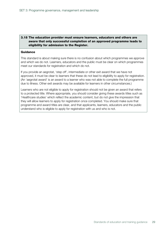#### 3.18 The education provider must ensure learners, educators and others are aware that only successful completion of an approved programme leads to eligibility for admission to the Register.

#### **Guidance**

This standard is about making sure there is no confusion about which programmes we approve and which we do not. Learners, educators and the public must be clear on which programmes meet our standards for registration and which do not.

If you provide an aegrotat, 'step off', intermediate or other exit award that we have not approved, it must be clear to learners that these do not lead to eligibility to apply for registration. (An 'aegrotat award' is an award to a learner who was not able to complete the full programme due to illness. Other exit awards may be available for learners in other circumstances.)

Learners who are not eligible to apply for registration should not be given an award that refers to a protected title. Where appropriate, you should consider giving these awards titles such as 'Healthcare studies' which reflect the academic content, but do not give the impression that they will allow learners to apply for registration once completed. You should make sure that programme and award titles are clear, and that applicants, learners, educators and the public understand who is eligible to apply for registration with us and who is not.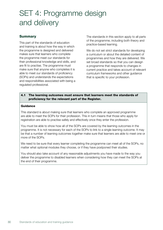# SET 4: Programme design and delivery

## **Summary**

This part of the standards of education and training is about how the way in which the programme is designed and delivered makes sure that learners who complete the programme meet our standards for their professional knowledge and skills, and are fit to practise. The programme must make sure that anyone who completes it is able to meet our standards of proficiency (SOPs) and understands the expectations and responsibilities associated with being a regulated professional.

The standards in this section apply to all parts of the programme, including both theory and practice-based learning.

We do not set strict standards for developing a curriculum or about the detailed content of programmes and how they are delivered. We set broad standards so that you can design a programme that responds to changes in current practice and takes account of relevant curriculum frameworks and other guidance that is specific to your profession.

#### 4.1 The learning outcomes must ensure that learners meet the standards of proficiency for the relevant part of the Register.

#### **Guidance**

This standard is about making sure that learners who complete an approved programme are able to meet the SOPs for their profession. This in turn means that those who apply for registration are able to practise safely and effectively once they enter the profession.

You must be able to show how all of the SOPs are covered by the learning outcomes in the programme. It is not necessary for each of the SOPs to link to a single learning outcome. It may be that a number of learning outcomes together make sure that learners are able to meet one or more of the SOPs.

We need to be sure that every learner completing the programme can meet all of the SOPs, no matter what optional modules they choose, or if they have postponed their studies.

You should also take account of any reasonable adjustments you have made to the way you deliver the programme to disabled learners when considering how they can meet the SOPs at the end of their programme.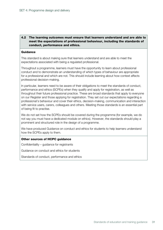#### 4.2 The learning outcomes must ensure that learners understand and are able to meet the expectations of professional behaviour, including the standards of conduct, performance and ethics.

#### **Guidance**

This standard is about making sure that learners understand and are able to meet the expectations associated with being a regulated professional.

Throughout a programme, learners must have the opportunity to learn about professional conduct and to demonstrate an understanding of which types of behaviour are appropriate for a professional and which are not. This should include learning about how context affects professional decision-making.

In particular, learners need to be aware of their obligations to meet the standards of conduct, performance and ethics (SCPEs) when they qualify and apply for registration, as well as throughout their future professional practice. These are broad standards that apply to everyone on our Register and those applying for registration. They set out our expectations regarding a professional's behaviour and cover their ethics, decision-making, communication and interaction with service users, carers, colleagues and others. Meeting those standards is an essential part of being fit to practise.

We do not set how the SCPEs should be covered during the programme (for example, we do not say you must have a dedicated module on ethics). However, the standards should play a prominent and structured role in the design of a programme.

We have produced Guidance on conduct and ethics for students to help learners understand how the SCPEs apply to them.

#### Other sources of HCPC guidance

Confidentiality – guidance for registrants

Guidance on conduct and ethics for students

Standards of conduct, performance and ethics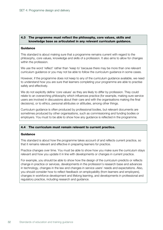#### 4.3 The programme must reflect the philosophy, core values, skills and knowledge base as articulated in any relevant curriculum guidance.

#### **Guidance**

This standard is about making sure that a programme remains current with regard to the philosophy, core values, knowledge and skills of a profession. It also aims to allow for changes within the profession.

We use the word 'reflect' rather than 'keep to' because there may be more than one relevant curriculum guidance or you may not be able to follow the curriculum guidance in some cases.

However, if the programme does not keep to any of the curriculum guidance available, we need to understand how you are sure that learners completing your programme are able to practise safely and effectively.

We do not explicitly define 'core values' as they are likely to differ by profession. They could relate to an overarching philosophy which influences practice (for example, making sure service users are involved in discussions about their care and with the organisations making the final decisions), or to ethics, personal attributes or attitudes, among other things.

Curriculum guidance is often produced by professional bodies, but relevant documents are sometimes produced by other organisations, such as commissioning and funding bodies or employers. You must to be able to show how any guidance is reflected in the programme.

#### 4.4 The curriculum must remain relevant to current practice.

#### Guidance

This standard is about how the programme takes account of and reflects current practice, so that it remains relevant and effective in preparing learners for practice.

Practice changes over time. You must be able to show how you make sure the curriculum stays relevant and how you update it in line with developments or changes in current practice.

For example, you should be able to show how the design of the curriculum predicts or reflects change in practice or services, developments in the profession's research base and advances in technology, changes in the law and changes in service users' needs and expectations. Also, you should consider how to reflect feedback on employability (from learners and employers), changes in workforce development and lifelong learning, and developments in professional and regulatory practice, including research and guidance.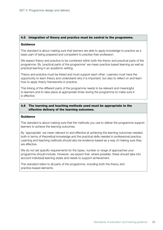#### 4.5 Integration of theory and practice must be central to the programme.

#### Guidance

This standard is about making sure that learners are able to apply knowledge to practice as a basic part of being prepared and competent to practise their profession.

We expect theory and practice to be combined within both the theory and practical parts of the programme. By 'practical parts of the programme' we mean practice-based learning as well as practical learning in an academic setting.

Theory and practice must be linked and must support each other. Learners must have the opportunity to learn theory and understand why it is important, but also to reflect on and learn how to apply theory frameworks in practice.

This linking of the different parts of the programme needs to be relevant and meaningful to learners and to take place at appropriate times during the programme to make sure it is effective.

#### 4.6 The learning and teaching methods used must be appropriate to the effective delivery of the learning outcomes.

#### Guidance

This standard is about making sure that the methods you use to deliver the programme support learners to achieve the learning outcomes.

By 'appropriate' we mean relevant to and effective at achieving the learning outcomes needed, both in terms of theoretical knowledge and the practical skills needed in professional practice. Learning and teaching methods should also be evidence-based as a way of making sure they are effective.

We do not set specific requirements for the types, number or range of approaches your programme should include. However, we expect that, where possible, these should take into account individual learning styles and needs to support achievement.

This standard refers to all parts of the programme, including both the theory and practice-based elements.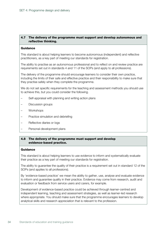#### 4.7 The delivery of the programme must support and develop autonomous and reflective thinking.

#### **Guidance**

This standard is about helping learners to become autonomous (independent) and reflective practitioners, as a key part of meeting our standards for registration.

The ability to practise as an autonomous professional and to reflect on and review practice are requirements set out in standards 4 and 11 of the SOPs (and apply to all professions).

The delivery of the programme should encourage learners to consider their own practice, including the limits of their safe and effective practice and their responsibility to make sure that they practise safely when they complete the programme.

We do not set specific requirements for the teaching and assessment methods you should use to achieve this, but you could consider the following.

- Self-appraisal with planning and writing action plans
- Discussion groups
- Workshops
- Practice simulation and debriefing
- Reflective diaries or logs
- Personal-development plans

#### 4.8 The delivery of the programme must support and develop evidence-based practice.

#### Guidance

This standard is about helping learners to use evidence to inform and systematically evaluate their practice as a key part of meeting our standards for registration.

The ability to guarantee the quality of their practice is a requirement set out in standard 12 of the SOPs (and applies to all professions).

By 'evidence-based practice' we mean the ability to gather, use, analyse and evaluate evidence to inform and guarantee quality in their practice. Evidence may come from research, audit and evaluation or feedback from service users and carers, for example.

Development of evidence-based practice could be achieved through learner-centred and independent learning, teaching and assessment strategies, as well as learner-led research where appropriate. You should make sure that the programme encourages learners to develop analytical skills and research appreciation that is relevant to the profession.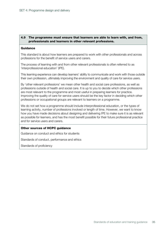#### 4.9 The programme must ensure that learners are able to learn with, and from, professionals and learners in other relevant professions.

#### Guidance

This standard is about how learners are prepared to work with other professionals and across professions for the benefit of service users and carers.

The process of learning with and from other relevant professionals is often referred to as 'interprofessional education' (IPE).

This learning experience can develop learners' ability to communicate and work with those outside their own profession, ultimately improving the environment and quality of care for service users.

By 'other relevant professions' we mean other health and social care professions, as well as professions outside of health and social care. It is up to you to decide which other professions are most relevant to the programme and most useful in preparing learners for practice. Improving the quality of care for service users should be the key factor in deciding which other professions or occupational groups are relevant to learners on a programme.

We do not set how a programme should include interprofessional education, or the types of learning activity, number of professions involved or length of time. However, we want to know how you have made decisions about designing and delivering IPE to make sure it is as relevant as possible for learners, and has the most benefit possible for their future professional practice and for service users and carers.

#### Other sources of HCPC guidance

Guidance on conduct and ethics for students

Standards of conduct, performance and ethics

Standards of proficiency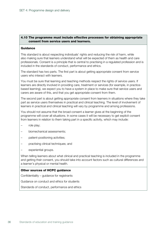#### 4.10 The programme must include effective processes for obtaining appropriate consent from service users and learners.

#### **Guidance**

This standard is about respecting individuals' rights and reducing the risk of harm, while also making sure that learners understand what will be expected of them as health and care professionals. Consent is a principle that is central to practising in a regulated profession and is included in the standards of conduct, performance and ethics.

The standard has two parts. The first part is about getting appropriate consent from service users who interact with learners.

You must be sure that learning and teaching methods respect the rights of service users. If learners are directly involved in providing care, treatment or services (for example, in practicebased learning), we expect you to have a system in place to make sure that service users and carers are aware of this, and that you get appropriate consent from them.

The second part is about getting appropriate consent from learners in situations where they take part as service users themselves in practical and clinical teaching. The level of involvement of learners in practical and clinical teaching will vary by programme and among professions.

You should not assume that the broad consent a learner gives at the beginning of the programme will cover all situations. In some cases it will be necessary to get explicit consent from learners in relation to them taking part in a specific activity, which may include:

- role play;
- biomechanical assessments;
- patient-positioning activities;
- practising clinical techniques; and
- experiential groups.

When telling learners about what clinical and practical teaching is included in the programme and getting their consent, you should take into account factors such as cultural differences and a learner's physical or mental health.

#### Other sources of HCPC guidance

Confidentiality – guidance for registrants

Guidance on conduct and ethics for students

Standards of conduct, performance and ethics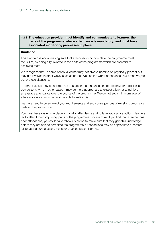#### 4.11 The education provider must identify and communicate to learners the parts of the programme where attendance is mandatory, and must have associated monitoring processes in place.

#### **Guidance**

This standard is about making sure that all learners who complete the programme meet the SOPs, by being fully involved in the parts of the programme which are essential to achieving them.

We recognise that, in some cases, a learner may not always need to be physically present but may get involved in other ways, such as online. We use the word 'attendance' in a broad way to cover these situations.

In some cases it may be appropriate to state that attendance on specific days or modules is compulsory, while in other cases it may be more appropriate to expect a learner to achieve an average attendance over the course of the programme. We do not set a minimum level of attendance – you must set and be able to justify this.

Learners need to be aware of your requirements and any consequences of missing compulsory parts of the programme.

You must have systems in place to monitor attendance and to take appropriate action if learners fail to attend the compulsory parts of the programme. For example, if you find that a learner has poor attendance, you could take follow-up action to make sure that they gain this knowledge before they are able to complete the programme. Other actions may be appropriate if learners fail to attend during assessments or practice-based learning.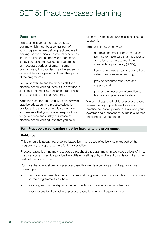## SET 5: Practice-based learning

## **Summary**

This section is about the practice-based learning which must be a central part of your programme. We define 'practice-based learning' as the clinical or practical experience that forms part of an approved programme. It may take place throughout a programme or in separate periods of time. In some programmes, it is provided in a different setting or by a different organisation than other parts of the programme.

You must oversee and be responsible for all practice-based learning, even if it is provided in a different setting or by a different organisation than other parts of the programme.

While we recognise that you work closely with practice educators and practice education providers, the standards in this section aim to make sure that you maintain responsibility for governance and quality assurance of practice-based learning, and that you have

effective systems and processes in place to support it.

This section covers how you:

- approve and monitor practice-based learning to make sure that it is effective and allows learners to meet the standards of proficiency (SOPs);
- keep service users, learners and others safe in practice-based learning;
- provide adequate resources and support; and
- provide the necessary information to learners and practice educators.

We do not approve individual practice-based learning settings, practice educators or practice education providers. However, your systems and processes must make sure that these meet our standards.

#### 5.1 Practice-based learning must be integral to the programme.

#### **Guidance**

This standard is about how practice-based learning is used effectively, as a key part of the programme, to prepare learners for future practice.

Practice-based learning may take place throughout a programme or in separate periods of time. In some programmes, it is provided in a different setting or by a different organisation than other parts of the programme.

You must be able to show how practice-based learning is a central part of the programme, for example:

- how practice-based learning outcomes and progression are in line with learning outcomes for the programme as a whole;
- your ongoing partnership arrangements with practice education providers; and
- your reasons for the design of practice-based learning on the programme.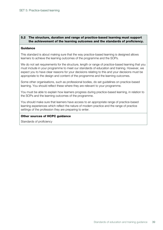#### 5.2 The structure, duration and range of practice-based learning must support the achievement of the learning outcomes and the standards of proficiency.

#### **Guidance**

This standard is about making sure that the way practice-based learning is designed allows learners to achieve the learning outcomes of the programme and the SOPs.

We do not set requirements for the structure, length or range of practice-based learning that you must include in your programme to meet our standards of education and training. However, we expect you to have clear reasons for your decisions relating to this and your decisions must be appropriate to the design and content of the programme and the learning outcomes.

Some other organisations, such as professional bodies, do set guidelines on practice-based learning. You should reflect these where they are relevant to your programme.

You must be able to explain how learners progress during practice-based learning, in relation to the SOPs and the learning outcomes of the programme.

You should make sure that learners have access to an appropriate range of practice-based learning experiences which reflect the nature of modern practice and the range of practice settings of the profession they are preparing to enter.

#### Other sources of HCPC guidance

Standards of proficiency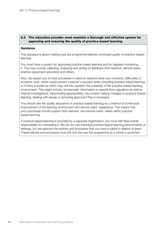#### 5.3 The education provider must maintain a thorough and effective system for approving and ensuring the quality of practice-based learning.

#### **Guidance**

This standard is about making sure the programme delivers continued quality of practice-based learning.

You must have a system for approving practice-based learning and for regularly monitoring it. This may include collecting, analysing and acting on feedback from learners, service users, practice placement educators and others.

Also, we expect you to have processes in place to respond when any concerns, difficulties or incidents arise, which could prevent a learner's success when providing practice-based learning, or if there is evidence which may call into question the suitability of the practice-based learning environment. This might include, for example, information or reports from regulators as well as internal investigations. Responding appropriately may involve making changes to practice-based learning, dealing with issues or removing approval if this is necessary.

You should see the quality assurance of practice-based learning as a method of continuous improvement of the learning environment and service users' experience. This means that your processes should support both learners' and service users' needs within practicebased learning.

If practice-based learning is provided by a separate organisation, you must still have overall responsibility for overseeing it. We do not visit individual practice-based learning environments or settings, but we approve the policies and processes that you have in place in relation to them. These policies and processes must link into the way the programme as a whole is governed.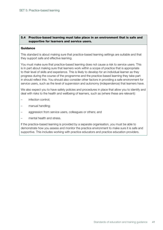#### 5.4 Practice-based learning must take place in an environment that is safe and supportive for learners and service users.

#### **Guidance**

This standard is about making sure that practice-based learning settings are suitable and that they support safe and effective learning.

You must make sure that practice-based learning does not cause a risk to service users. This is in part about making sure that learners work within a scope of practice that is appropriate to their level of skills and experience. This is likely to develop for an individual learner as they progress during the course of the programme and the practice-based learning they take part in should reflect this. You should also consider other factors in providing a safe environment for service users, such as the level of supervision and autonomy (independence) that learners have.

We also expect you to have safety policies and procedures in place that allow you to identify and deal with risks to the health and wellbeing of learners, such as (where these are relevant):

- infection control;
- manual handling;
- aggression from service users, colleagues or others; and
- mental health and stress.

If the practice-based learning is provided by a separate organisation, you must be able to demonstrate how you assess and monitor the practice environment to make sure it is safe and supportive. This includes working with practice educators and practice education providers.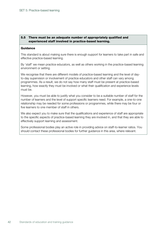#### 5.5 There must be an adequate number of appropriately qualified and experienced staff involved in practice-based learning.

#### **Guidance**

This standard is about making sure there is enough support for learners to take part in safe and effective practice-based learning.

By 'staff' we mean practice educators, as well as others working in the practice-based learning environment or setting.

We recognise that there are different models of practice-based learning and the level of dayto-day supervision or involvement of practice educators and other staff can vary among programmes. As a result, we do not say how many staff must be present at practice-based learning, how exactly they must be involved or what their qualification and experience levels must be.

However, you must be able to justify what you consider to be a suitable number of staff for the number of learners and the level of support specific learners need. For example, a one-to-one relationship may be needed for some professions or programmes, while there may be four or five learners to one member of staff in others.

We also expect you to make sure that the qualifications and experience of staff are appropriate to the specific aspects of practice-based learning they are involved in, and that they are able to effectively support learning and assessment.

Some professional bodies play an active role in providing advice on staff-to-learner ratios. You should contact these professional bodies for further guidance in this area, where relevant.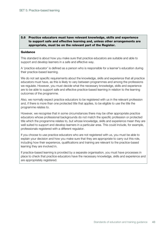#### 5.6 Practice educators must have relevant knowledge, skills and experience to support safe and effective learning and, unless other arrangements are appropriate, must be on the relevant part of the Register.

#### **Guidance**

This standard is about how you make sure that practice educators are suitable and able to support and develop learners in a safe and effective way.

A 'practice educator' is defined as a person who is responsible for a learner's education during their practice-based learning.

We do not set specific requirements about the knowledge, skills and experience that all practice educators must have, as this is likely to vary between programmes and among the professions we regulate. However, you must decide what the necessary knowledge, skills and experience are to be able to support safe and effective practice-based learning in relation to the learning outcomes of the programme.

Also, we normally expect practice educators to be registered with us in the relevant profession and, if there is more than one protected title that applies, to be eligible to use the title the programme relates to.

However, we recognise that in some circumstances there may be other appropriate practice educators whose professional backgrounds do not match the specific profession or protected title which the programme relates to, but whose knowledge, skills and experience mean they are well suited to support and develop learners in a particular area. This could include, for example, professionals registered with a different regulator.

If you choose to use practice educators who are not registered with us, you must be able to explain your decision and how you make sure that they are appropriate to carry out this role, including how their experience, qualifications and training are relevant to the practice-based learning they are involved in.

If practice-based learning is provided by a separate organisation, you must have processes in place to check that practice educators have the necessary knowledge, skills and experience and are appropriately registered.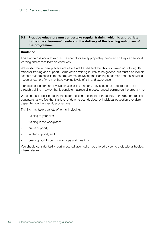#### 5.7 Practice educators must undertake regular training which is appropriate to their role, learners' needs and the delivery of the learning outcomes of the programme.

#### **Guidance**

This standard is about how practice educators are appropriately prepared so they can support learning and assess learners effectively.

We expect that all new practice educators are trained and that this is followed up with regular refresher training and support. Some of this training is likely to be generic, but must also include aspects that are specific to the programme, delivering the learning outcomes and the individual needs of learners (who may have varying levels of skill and experience).

If practice educators are involved in assessing learners, they should be prepared to do so through training in a way that is consistent across all practice-based learning on the programme.

We do not set specific requirements for the length, content or frequency of training for practice educators, as we feel that this level of detail is best decided by individual education providers depending on the specific programme.

Training may take a variety of forms, including:

- training at your site;
- training in the workplace;
- online support;
- written support; and
- peer support through workshops and meetings.

You should consider taking part in accreditation schemes offered by some professional bodies, where relevant.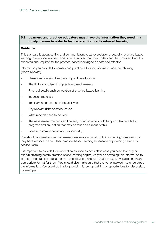#### 5.8 Learners and practice educators must have the information they need in a timely manner in order to be prepared for practice-based learning.

#### **Guidance**

This standard is about setting and communicating clear expectations regarding practice-based learning to everyone involved. This is necessary so that they understand their roles and what is expected and required for the practice-based learning to be safe and effective.

Information you provide to learners and practice educators should include the following (where relevant).

- Names and details of learners or practice educators
- The timings and length of practice-based learning
- Practical details such as location of practice-based learning
- Induction materials
- The learning outcomes to be achieved
- Any relevant risks or safety issues
- What records need to be kept
- The assessment methods and criteria, including what could happen if learners fail to progress and any action that may be taken as a result of this
- Lines of communication and responsibility

You should also make sure that learners are aware of what to do if something goes wrong or they have a concern about their practice-based learning experience or providing services to service users.

It is important to provide this information as soon as possible in case you need to clarify or explain anything before practice-based learning begins. As well as providing this information to learners and practice educators, you should also make sure that it is easily available and in an appropriate format for them. You should also make sure that everyone involved has understood the information. You could do this by providing follow-up training or opportunities for discussion, for example.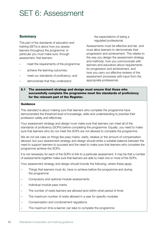## SET 6: Assessment

### **Summary**

This part of the standards of education and training (SETs) is about how you assess learners throughout the programme. In particular you must make sure, through assessment, that learners:

- meet the requirements of the programme;
- achieve the learning outcomes;
- meet our standards of proficiency; and
- demonstrate that they understand

the expectations of being a regulated professional.

Assessments must be effective and fair, and must allow learners to demonstrate their progression and achievement. This relates to the way you design the assessment strategy and methods, how you communicate with learners and educators about requirements for progression and achievement, and how you carry out effective reviews of the assessment processes with input from the appropriate professional.

6.1 The assessment strategy and design must ensure that those who successfully complete the programme meet the standards of proficiency for the relevant part of the Register.

#### Guidance

This standard is about making sure that learners who complete the programme have demonstrated the threshold level of knowledge, skills and understanding to practise their profession safely and effectively.

Your assessment strategy and design must make sure that learners can meet all of the standards of proficiency (SOPs) before completing the programme. Equally, you need to make sure that learners who do not meet the SOPs are not allowed to complete the programme.

We do not set rules on things like pass marks, resits, retakes or the amount of compensation allowed, but your assessment strategy and design should strike a suitable balance between the need to support learners to succeed and the need to make sure that learners who complete the programme achieve the SOPs.

It is not necessary for each of the SOPs to link to a particular assessment. It may be that a number of assessments together make sure that learners are able to meet one or more of the SOPs.

Your assessment strategy and design should include the following, where these apply.

- Things that learners must do, have or achieve before the programme and during the programme
- Compulsory and optional module assessments
- Individual module pass marks
- The number of resits learners are allowed (and within what period of time)
- The maximum number of resits allowed in a year for specific modules
- Compensation and condonement regulations
- The maximum time a learner can take to complete the programme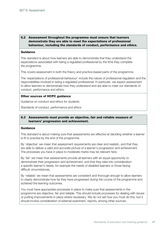#### 6.2 Assessment throughout the programme must ensure that learners demonstrate they are able to meet the expectations of professional behaviour, including the standards of conduct, performance and ethics.

#### **Guidance**

This standard is about how learners are able to demonstrate that they understand the expectations associated with being a regulated professional by the time they complete the programme.

This covers assessment in both the theory and practice-based parts of the programme.

The 'expectations of professional behaviour' include the nature of professional regulation and the responsibilities involved in being a regulated professional. In particular, we expect assessment to allow learners to demonstrate how they understand and are able to meet our standards of conduct, performance and ethics.

#### Other sources of HCPC guidance

Guidance on conduct and ethics for students

Standards of conduct, performance and ethics

#### 6.3 Assessments must provide an objective, fair and reliable measure of learners' progression and achievement.

#### Guidance

This standard is about making sure that assessments are effective at deciding whether a learner is fit to practise by the end of the programme.

By 'objective' we mean that assessment requirements are clear and realistic, and that they are able to deliver a valid and accurate picture of a learner's progression and achievement. The processes you have in place to moderate marks may be relevant here.

By 'fair' we mean that assessments provide all learners with an equal opportunity to demonstrate their progression and achievement, and that they take into consideration a specific learner's needs, for example the needs of disabled learners or those facing difficult circumstances.

By 'reliable' we mean that assessments are consistent and thorough enough to allow learners to clearly demonstrate how far they have progressed during the course of the programme and achieved the learning outcomes.

You must have appropriate processes in place to make sure that assessments in the programme are objective, fair and reliable. This should include processes for dealing with issues or putting improvements in place where necessary. We do not set how you must do this, but it should involve consideration of external examiners' reports, among other sources.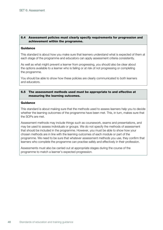#### 6.4 Assessment policies must clearly specify requirements for progression and achievement within the programme.

#### **Guidance**

This standard is about how you make sure that learners understand what is expected of them at each stage of the programme and educators can apply assessment criteria consistently.

As well as what might prevent a learner from progressing, you should also be clear about the options available to a learner who is failing or at risk of not progressing or completing the programme.

You should be able to show how these policies are clearly communicated to both learners and educators.

#### 6.5 The assessment methods used must be appropriate to and effective at measuring the learning outcomes.

#### **Guidance**

This standard is about making sure that the methods used to assess learners help you to decide whether the learning outcomes of the programme have been met. This, in turn, makes sure that the SOPs are met.

Assessment methods may include things such as coursework, exams and presentations, and may be used to assess individuals or groups. We do not specify the methods of assessment that should be included in the programme. However, you must be able to show how your chosen methods are in line with the learning outcomes of each module or part of the programme. We need to be sure that whatever assessment methods you use, they confirm that learners who complete the programme can practise safely and effectively in their profession.

Assessments must also be carried out at appropriate stages during the course of the programme to match a learner's expected progression.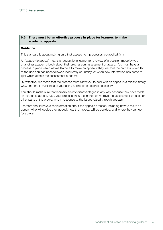#### 6.6 There must be an effective process in place for learners to make academic appeals.

#### **Guidance**

This standard is about making sure that assessment processes are applied fairly.

An 'academic appeal' means a request by a learner for a review of a decision made by you or another academic body about their progression, assessment or award. You must have a process in place which allows learners to make an appeal if they feel that the process which led to the decision has been followed incorrectly or unfairly, or when new information has come to light which affects the assessment outcome.

By 'effective' we mean that the process must allow you to deal with an appeal in a fair and timely way, and that it must include you taking appropriate action if necessary.

You should make sure that learners are not disadvantaged in any way because they have made an academic appeal. Also, your process should enhance or improve the assessment process or other parts of the programme in response to the issues raised through appeals.

Learners should have clear information about the appeals process, including how to make an appeal, who will decide their appeal, how their appeal will be decided, and where they can go for advice.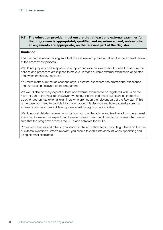#### 6.7 The education provider must ensure that at least one external examiner for the programme is appropriately qualified and experienced and, unless other arrangements are appropriate, on the relevant part of the Register.

#### **Guidance**

This standard is about making sure that there is relevant professional input in the external review of the assessment process.

We do not play any part in appointing or approving external examiners, but need to be sure that policies and processes are in place to make sure that a suitable external examiner is appointed and, when necessary, replaced.

You must make sure that at least one of your external examiners has professional experience and qualifications relevant to the programme.

We would also normally expect at least one external examiner to be registered with us on the relevant part of the Register. However, we recognise that in some circumstances there may be other appropriate external examiners who are not on the relevant part of the Register. If this is the case, you need to provide information about this decision and how you make sure that external examiners from a different professional background are suitable.

We do not set detailed requirements for how you use the advice and feedback from the external examiner. However, we expect that the external examiner contributes to processes which make sure that the programme meets the SETs and achieves the SOPs.

Professional bodies and other organisations in the education sector provide guidance on the role of external examiners. Where relevant, you should take this into account when appointing and using external examiners.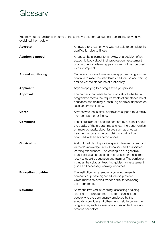## **Glossary**

You may not be familiar with some of the terms we use throughout this document, so we have explained them below.

| <b>Aegrotat</b>           | An award to a learner who was not able to complete the<br>qualification due to illness.                                                                                                                                                                                                                                                                                                            |
|---------------------------|----------------------------------------------------------------------------------------------------------------------------------------------------------------------------------------------------------------------------------------------------------------------------------------------------------------------------------------------------------------------------------------------------|
| <b>Academic appeal</b>    | A request by a learner for a review of a decision of an<br>academic body about their progression, assessment<br>or award. An academic appeal should not be confused<br>with a complaint.                                                                                                                                                                                                           |
| <b>Annual monitoring</b>  | Our yearly process to make sure approved programmes<br>continue to meet the standards of education and training<br>and deliver the standards of proficiency.                                                                                                                                                                                                                                       |
| <b>Applicant</b>          | Anyone applying to a programme you provide                                                                                                                                                                                                                                                                                                                                                         |
| <b>Approval</b>           | The process that leads to decisions about whether a<br>programme meets the requirements of our standards of<br>education and training. Continuing approval depends on<br>satisfactory monitoring.                                                                                                                                                                                                  |
| <b>Carer</b>              | Anyone who looks after, or provides support to, a family<br>member, partner or friend.                                                                                                                                                                                                                                                                                                             |
| <b>Complaint</b>          | The expression of a specific concern by a learner about<br>the quality of the programme and learning opportunities<br>or, more generally, about issues such as unequal<br>treatment or bullying. A complaint should not be<br>confused with an academic appeal.                                                                                                                                    |
| <b>Curriculum</b>         | A structured plan to provide specific learning to support<br>learners' knowledge, skills, behaviour and associated<br>learning experiences. The learning plan is generally<br>organised as a sequence of modules so that a learner<br>receives specific education and training. The curriculum<br>includes the syllabus, teaching guides, an assessment<br>guide and necessary learning resources. |
| <b>Education provider</b> | The institution (for example, a college, university,<br>company or private higher education provider)<br>which maintains overall responsibility for delivering<br>the programme.                                                                                                                                                                                                                   |
| <b>Educator</b>           | Someone involved in teaching, assessing or aiding<br>learning on a programme. This term can include<br>people who are permanently employed by the<br>education provider and others who help to deliver the<br>programme, such as sessional or visiting lecturers and<br>practice educators.                                                                                                        |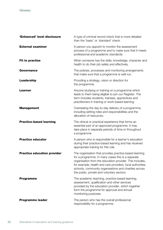| 'Enhanced' level disclosure        | A type of criminal record check that is more detailed<br>than the 'basic' or 'standard' check.                                                                                                                                                                                                                                               |
|------------------------------------|----------------------------------------------------------------------------------------------------------------------------------------------------------------------------------------------------------------------------------------------------------------------------------------------------------------------------------------------|
| <b>External examiner</b>           | A person you appoint to monitor the assessment<br>process of a programme and to make sure that it meets<br>professional and academic standards.                                                                                                                                                                                              |
| <b>Fit to practise</b>             | When someone has the skills, knowledge, character and<br>health to do their job safely and effectively.                                                                                                                                                                                                                                      |
| <b>Governance</b>                  | The policies, processes and monitoring arrangements<br>that make sure that a programme is well run.                                                                                                                                                                                                                                          |
| Leadership                         | Providing a strategy, vision or direction for<br>the programme.                                                                                                                                                                                                                                                                              |
| <b>Learner</b>                     | Anyone studying or training on a programme which<br>leads to them being eligible to join our Register. The<br>term includes students, trainees, apprentices and<br>practitioners in training or work-based learning.                                                                                                                         |
| <b>Management</b>                  | Overseeing the day-to-day delivery of a programme,<br>including setting roles and responsibilities and the<br>allocation of resources.                                                                                                                                                                                                       |
| <b>Practice-based learning</b>     | The clinical or practical experience that forms an<br>essential part of an approved programme. It may<br>take place in separate periods of time or throughout<br>a programme.                                                                                                                                                                |
| <b>Practice educator</b>           | A person who is responsible for a learner's education<br>during their practice-based learning and has received<br>appropriate training for this role.                                                                                                                                                                                        |
| <b>Practice education provider</b> | The organisation that provides practice-based learning<br>for a programme. In many cases this is a separate<br>organisation from the education provider. This includes,<br>for example, health and care providers, local authorities,<br>schools, community organisations and charities across<br>the public, private and voluntary sectors. |
| <b>Programme</b>                   | The academic teaching, practice-based learning,<br>assessment, qualification and other services<br>provided by the education provider, which together<br>form the programme for approval and annual<br>monitoring purposes.                                                                                                                  |
| <b>Programme leader</b>            | The person who has the overall professional                                                                                                                                                                                                                                                                                                  |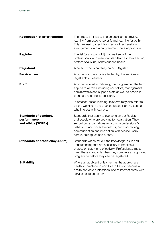| <b>Recognition of prior learning</b>                              | The process for assessing an applicant's previous<br>learning from experience or formal learning (or both).<br>This can lead to credit transfer or other transition<br>arrangements into a programme, where appropriate.                                                                                    |
|-------------------------------------------------------------------|-------------------------------------------------------------------------------------------------------------------------------------------------------------------------------------------------------------------------------------------------------------------------------------------------------------|
| <b>Register</b>                                                   | The list (or any part of it) that we keep of the<br>professionals who meet our standards for their training,<br>professional skills, behaviour and health.                                                                                                                                                  |
| <b>Registrant</b>                                                 | A person who is currently on our Register.                                                                                                                                                                                                                                                                  |
| <b>Service user</b>                                               | Anyone who uses, or is affected by, the services of<br>registrants or learners.                                                                                                                                                                                                                             |
| Staff                                                             | Anyone involved in delivering the programme. The term<br>applies to all roles including educators, management,<br>administrative and support staff, as well as people in<br>both paid and unpaid positions.                                                                                                 |
|                                                                   | In practice-based learning, this term may also refer to<br>others working in the practice-based learning setting<br>who interact with learners.                                                                                                                                                             |
| <b>Standards of conduct,</b><br>performance<br>and ethics (SCPEs) | Standards that apply to everyone on our Register<br>and people who are applying for registration. They<br>set out our expectations regarding a professional's<br>behaviour, and cover their ethics, decision-making,<br>communication and interaction with service users,<br>carers, colleagues and others. |
| <b>Standards of proficiency (SOPs)</b>                            | Standards which set out the knowledge, skills and<br>understanding that are necessary to practise a<br>profession safely and effectively. Professionals must<br>meet these standards when they complete an approved<br>programme before they can be registered.                                             |
| <b>Suitability</b>                                                | Where an applicant or learner has the appropriate<br>health, character and conduct to train to become a<br>health and care professional and to interact safely with<br>service users and carers.                                                                                                            |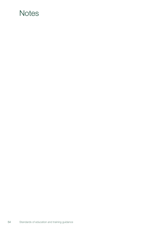## **Notes**